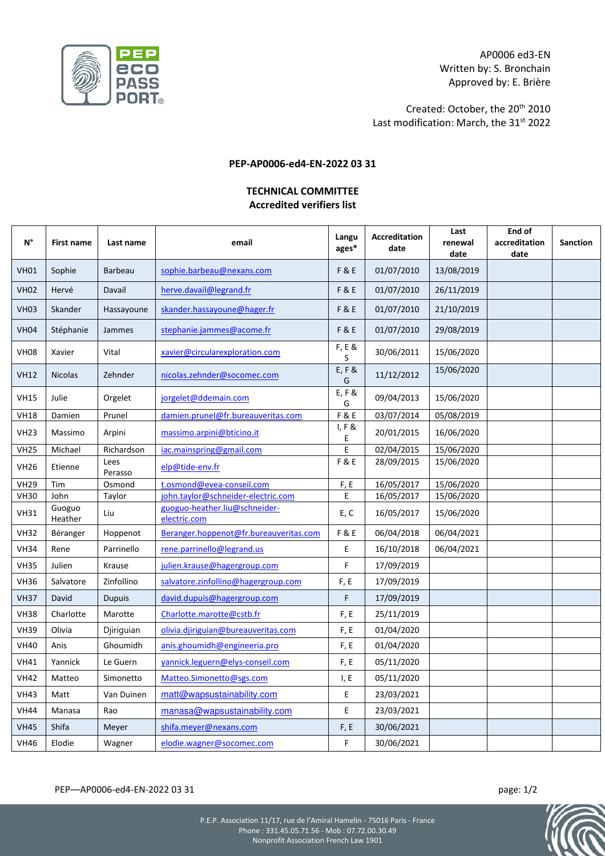

AP0006 ed3-EN Written by: S. Bronchain Approved by: E. Brière

Created: October, the 20th 2010 Last modification: March, the 31<sup>st</sup> 2022

## **PEP-AP0006-ed4-EN-2022 03 31**

## **TECHNICAL COMMITTEE Accredited verifiers list**

| N°          | <b>First name</b> | Last name       | email                                         | Langu<br>ages* | <b>Accreditation</b><br>date | Last<br>renewal<br>date | End of<br>accreditation<br>date | <b>Sanction</b> |
|-------------|-------------------|-----------------|-----------------------------------------------|----------------|------------------------------|-------------------------|---------------------------------|-----------------|
| <b>VH01</b> | Sophie            | <b>Barbeau</b>  | sophie.barbeau@nexans.com                     | F&E            | 01/07/2010                   | 13/08/2019              |                                 |                 |
| <b>VH02</b> | Hervé             | Davail          | herve.davail@legrand.fr                       | F&E            | 01/07/2010                   | 26/11/2019              |                                 |                 |
| <b>VH03</b> | Skander           | Hassayoune      | skander.hassayoune@hager.fr                   | <b>F&amp;E</b> | 01/07/2010                   | 21/10/2019              |                                 |                 |
| <b>VH04</b> | Stéphanie         | Jammes          | stephanie.jammes@acome.fr                     | F&E            | 01/07/2010                   | 29/08/2019              |                                 |                 |
| <b>VH08</b> | Xavier            | Vital           | xavier@circularexploration.com                | F, E &<br>S    | 30/06/2011                   | 15/06/2020              |                                 |                 |
| <b>VH12</b> | <b>Nicolas</b>    | Zehnder         | nicolas.zehnder@socomec.com                   | $E, F$ &<br>G  | 11/12/2012                   | 15/06/2020              |                                 |                 |
| <b>VH15</b> | Julie             | Orgelet         | jorgelet@ddemain.com                          | $E, F$ &<br>G  | 09/04/2013                   | 15/06/2020              |                                 |                 |
| <b>VH18</b> | Damien            | Prunel          | damien.prunel@fr.bureauveritas.com            | F&E            | 03/07/2014                   | 05/08/2019              |                                 |                 |
| <b>VH23</b> | Massimo           | Arpini          | massimo.arpini@bticino.it                     | I, F &<br>E    | 20/01/2015                   | 16/06/2020              |                                 |                 |
| <b>VH25</b> | Michael           | Richardson      | iac.mainspring@gmail.com                      | E              | 02/04/2015                   | 15/06/2020              |                                 |                 |
| <b>VH26</b> | Etienne           | Lees<br>Perasso | elp@tide-env.fr                               | F&E            | 28/09/2015                   | 15/06/2020              |                                 |                 |
| <b>VH29</b> | Tim               | Osmond          | t.osmond@evea-conseil.com                     | F, E           | 16/05/2017                   | 15/06/2020              |                                 |                 |
| <b>VH30</b> | John              | Taylor          | john.taylor@schneider-electric.com            | E              | 16/05/2017                   | 15/06/2020              |                                 |                 |
| <b>VH31</b> | Guoguo<br>Heather | Liu             | guoguo-heather.liu@schneider-<br>electric.com | E, C           | 16/05/2017                   | 15/06/2020              |                                 |                 |
| <b>VH32</b> | Béranger          | Hoppenot        | Beranger.hoppenot@fr.bureauveritas.com        | F&E            | 06/04/2018                   | 06/04/2021              |                                 |                 |
| <b>VH34</b> | Rene              | Parrinello      | rene.parrinello@legrand.us                    | E              | 16/10/2018                   | 06/04/2021              |                                 |                 |
| <b>VH35</b> | Julien            | Krause          | julien.krause@hagergroup.com                  | F              | 17/09/2019                   |                         |                                 |                 |
| <b>VH36</b> | Salvatore         | Zinfollino      | salvatore.zinfollino@hagergroup.com           | F, E           | 17/09/2019                   |                         |                                 |                 |
| <b>VH37</b> | David             | <b>Dupuis</b>   | david.dupuis@hagergroup.com                   | F              | 17/09/2019                   |                         |                                 |                 |
| <b>VH38</b> | Charlotte         | Marotte         | Charlotte.marotte@cstb.fr                     | F, E           | 25/11/2019                   |                         |                                 |                 |
| <b>VH39</b> | Olivia            | Djiriguian      | olivia.djiriguian@bureauveritas.com           | F, E           | 01/04/2020                   |                         |                                 |                 |
| <b>VH40</b> | Anis              | Ghoumidh        | anis.ghoumidh@engineeria.pro                  | F, E           | 01/04/2020                   |                         |                                 |                 |
| <b>VH41</b> | Yannick           | Le Guern        | yannick.leguern@elys-conseil.com              | F, E           | 05/11/2020                   |                         |                                 |                 |
| <b>VH42</b> | Matteo            | Simonetto       | Matteo.Simonetto@sgs.com                      | I, E           | 05/11/2020                   |                         |                                 |                 |
| <b>VH43</b> | Matt              | Van Duinen      | matt@wapsustainability.com                    | Ε              | 23/03/2021                   |                         |                                 |                 |
| <b>VH44</b> | Manasa            | Rao             | manasa@wapsustainability.com                  | E              | 23/03/2021                   |                         |                                 |                 |
| <b>VH45</b> | Shifa             | Meyer           | shifa.meyer@nexans.com                        | F, E           | 30/06/2021                   |                         |                                 |                 |
| <b>VH46</b> | Elodie            | Wagner          | elodie.wagner@socomec.com                     | F              | 30/06/2021                   |                         |                                 |                 |